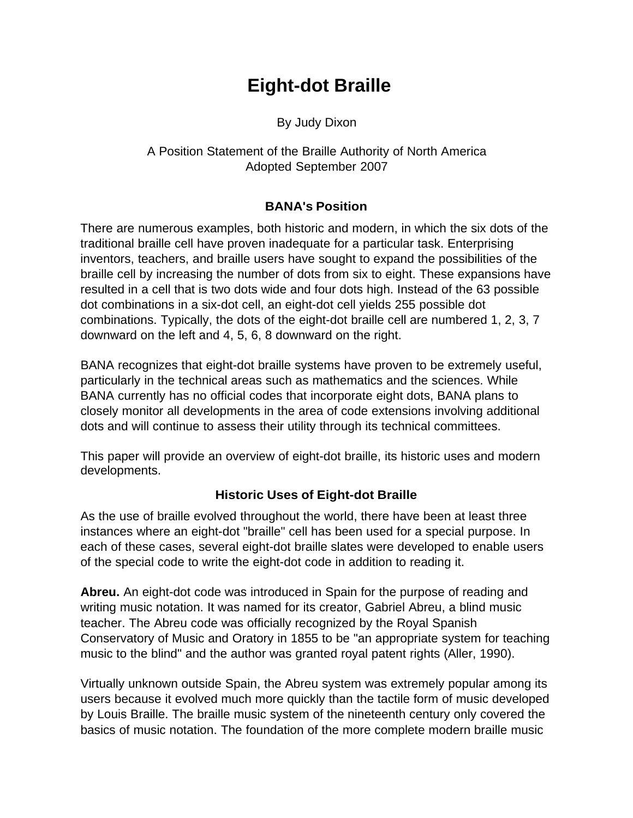# **Eight-dot Braille**

By Judy Dixon

A Position Statement of the Braille Authority of North America Adopted September 2007

### **BANA's Position**

There are numerous examples, both historic and modern, in which the six dots of the traditional braille cell have proven inadequate for a particular task. Enterprising inventors, teachers, and braille users have sought to expand the possibilities of the braille cell by increasing the number of dots from six to eight. These expansions have resulted in a cell that is two dots wide and four dots high. Instead of the 63 possible dot combinations in a six-dot cell, an eight-dot cell yields 255 possible dot combinations. Typically, the dots of the eight-dot braille cell are numbered 1, 2, 3, 7 downward on the left and 4, 5, 6, 8 downward on the right.

BANA recognizes that eight-dot braille systems have proven to be extremely useful, particularly in the technical areas such as mathematics and the sciences. While BANA currently has no official codes that incorporate eight dots, BANA plans to closely monitor all developments in the area of code extensions involving additional dots and will continue to assess their utility through its technical committees.

This paper will provide an overview of eight-dot braille, its historic uses and modern developments.

# **Historic Uses of Eight-dot Braille**

As the use of braille evolved throughout the world, there have been at least three instances where an eight-dot "braille" cell has been used for a special purpose. In each of these cases, several eight-dot braille slates were developed to enable users of the special code to write the eight-dot code in addition to reading it.

**Abreu.** An eight-dot code was introduced in Spain for the purpose of reading and writing music notation. It was named for its creator, Gabriel Abreu, a blind music teacher. The Abreu code was officially recognized by the Royal Spanish Conservatory of Music and Oratory in 1855 to be "an appropriate system for teaching music to the blind" and the author was granted royal patent rights (Aller, 1990).

Virtually unknown outside Spain, the Abreu system was extremely popular among its users because it evolved much more quickly than the tactile form of music developed by Louis Braille. The braille music system of the nineteenth century only covered the basics of music notation. The foundation of the more complete modern braille music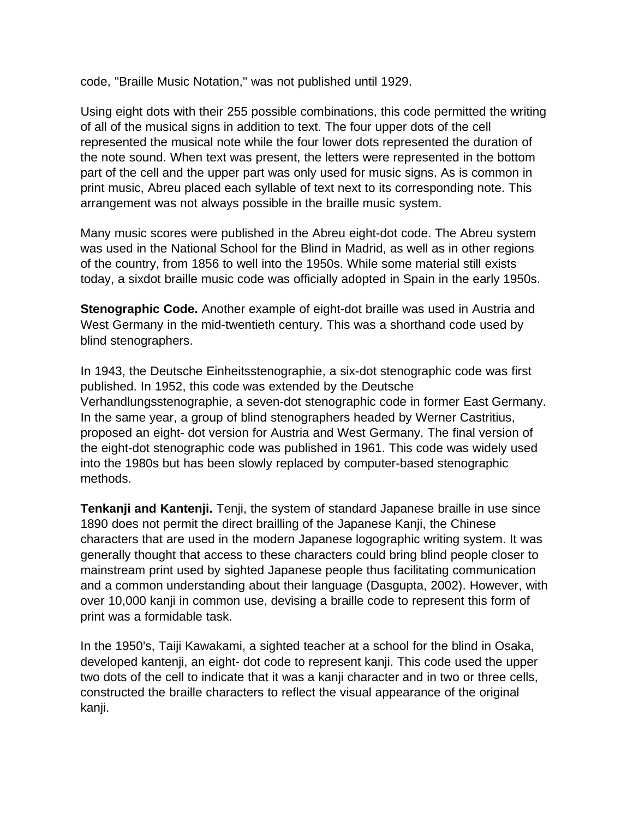code, "Braille Music Notation," was not published until 1929.

Using eight dots with their 255 possible combinations, this code permitted the writing of all of the musical signs in addition to text. The four upper dots of the cell represented the musical note while the four lower dots represented the duration of the note sound. When text was present, the letters were represented in the bottom part of the cell and the upper part was only used for music signs. As is common in print music, Abreu placed each syllable of text next to its corresponding note. This arrangement was not always possible in the braille music system.

Many music scores were published in the Abreu eight-dot code. The Abreu system was used in the National School for the Blind in Madrid, as well as in other regions of the country, from 1856 to well into the 1950s. While some material still exists today, a sixdot braille music code was officially adopted in Spain in the early 1950s.

**Stenographic Code.** Another example of eight-dot braille was used in Austria and West Germany in the mid-twentieth century. This was a shorthand code used by blind stenographers.

In 1943, the Deutsche Einheitsstenographie, a six-dot stenographic code was first published. In 1952, this code was extended by the Deutsche Verhandlungsstenographie, a seven-dot stenographic code in former East Germany. In the same year, a group of blind stenographers headed by Werner Castritius, proposed an eight- dot version for Austria and West Germany. The final version of the eight-dot stenographic code was published in 1961. This code was widely used into the 1980s but has been slowly replaced by computer-based stenographic methods.

**Tenkanji and Kantenji.** Tenji, the system of standard Japanese braille in use since 1890 does not permit the direct brailling of the Japanese Kanji, the Chinese characters that are used in the modern Japanese logographic writing system. It was generally thought that access to these characters could bring blind people closer to mainstream print used by sighted Japanese people thus facilitating communication and a common understanding about their language (Dasgupta, 2002). However, with over 10,000 kanji in common use, devising a braille code to represent this form of print was a formidable task.

In the 1950's, Taiji Kawakami, a sighted teacher at a school for the blind in Osaka, developed kantenji, an eight- dot code to represent kanji. This code used the upper two dots of the cell to indicate that it was a kanji character and in two or three cells, constructed the braille characters to reflect the visual appearance of the original kanji.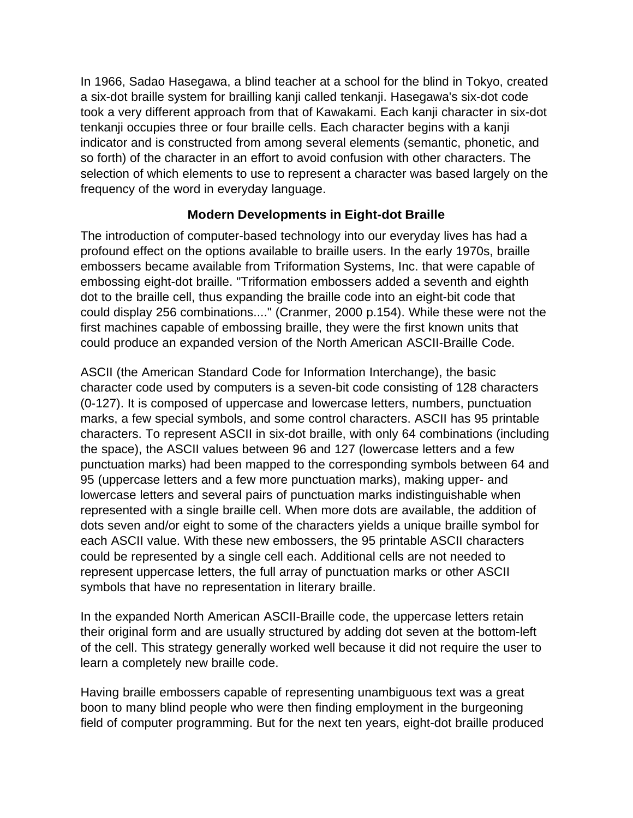In 1966, Sadao Hasegawa, a blind teacher at a school for the blind in Tokyo, created a six-dot braille system for brailling kanji called tenkanji. Hasegawa's six-dot code took a very different approach from that of Kawakami. Each kanji character in six-dot tenkanji occupies three or four braille cells. Each character begins with a kanji indicator and is constructed from among several elements (semantic, phonetic, and so forth) of the character in an effort to avoid confusion with other characters. The selection of which elements to use to represent a character was based largely on the frequency of the word in everyday language.

### **Modern Developments in Eight-dot Braille**

The introduction of computer-based technology into our everyday lives has had a profound effect on the options available to braille users. In the early 1970s, braille embossers became available from Triformation Systems, Inc. that were capable of embossing eight-dot braille. "Triformation embossers added a seventh and eighth dot to the braille cell, thus expanding the braille code into an eight-bit code that could display 256 combinations...." (Cranmer, 2000 p.154). While these were not the first machines capable of embossing braille, they were the first known units that could produce an expanded version of the North American ASCII-Braille Code.

ASCII (the American Standard Code for Information Interchange), the basic character code used by computers is a seven-bit code consisting of 128 characters (0-127). It is composed of uppercase and lowercase letters, numbers, punctuation marks, a few special symbols, and some control characters. ASCII has 95 printable characters. To represent ASCII in six-dot braille, with only 64 combinations (including the space), the ASCII values between 96 and 127 (lowercase letters and a few punctuation marks) had been mapped to the corresponding symbols between 64 and 95 (uppercase letters and a few more punctuation marks), making upper- and lowercase letters and several pairs of punctuation marks indistinguishable when represented with a single braille cell. When more dots are available, the addition of dots seven and/or eight to some of the characters yields a unique braille symbol for each ASCII value. With these new embossers, the 95 printable ASCII characters could be represented by a single cell each. Additional cells are not needed to represent uppercase letters, the full array of punctuation marks or other ASCII symbols that have no representation in literary braille.

In the expanded North American ASCII-Braille code, the uppercase letters retain their original form and are usually structured by adding dot seven at the bottom-left of the cell. This strategy generally worked well because it did not require the user to learn a completely new braille code.

Having braille embossers capable of representing unambiguous text was a great boon to many blind people who were then finding employment in the burgeoning field of computer programming. But for the next ten years, eight-dot braille produced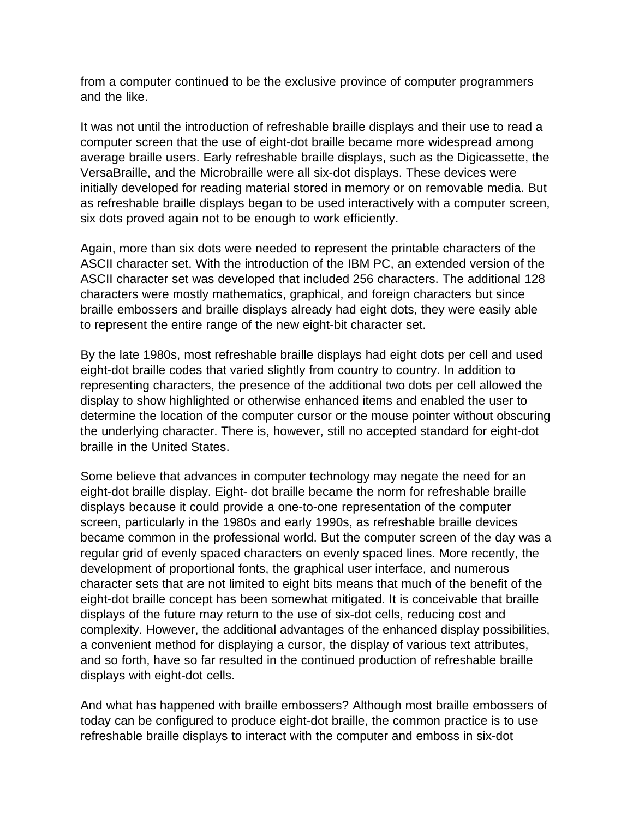from a computer continued to be the exclusive province of computer programmers and the like.

It was not until the introduction of refreshable braille displays and their use to read a computer screen that the use of eight-dot braille became more widespread among average braille users. Early refreshable braille displays, such as the Digicassette, the VersaBraille, and the Microbraille were all six-dot displays. These devices were initially developed for reading material stored in memory or on removable media. But as refreshable braille displays began to be used interactively with a computer screen, six dots proved again not to be enough to work efficiently.

Again, more than six dots were needed to represent the printable characters of the ASCII character set. With the introduction of the IBM PC, an extended version of the ASCII character set was developed that included 256 characters. The additional 128 characters were mostly mathematics, graphical, and foreign characters but since braille embossers and braille displays already had eight dots, they were easily able to represent the entire range of the new eight-bit character set.

By the late 1980s, most refreshable braille displays had eight dots per cell and used eight-dot braille codes that varied slightly from country to country. In addition to representing characters, the presence of the additional two dots per cell allowed the display to show highlighted or otherwise enhanced items and enabled the user to determine the location of the computer cursor or the mouse pointer without obscuring the underlying character. There is, however, still no accepted standard for eight-dot braille in the United States.

Some believe that advances in computer technology may negate the need for an eight-dot braille display. Eight- dot braille became the norm for refreshable braille displays because it could provide a one-to-one representation of the computer screen, particularly in the 1980s and early 1990s, as refreshable braille devices became common in the professional world. But the computer screen of the day was a regular grid of evenly spaced characters on evenly spaced lines. More recently, the development of proportional fonts, the graphical user interface, and numerous character sets that are not limited to eight bits means that much of the benefit of the eight-dot braille concept has been somewhat mitigated. It is conceivable that braille displays of the future may return to the use of six-dot cells, reducing cost and complexity. However, the additional advantages of the enhanced display possibilities, a convenient method for displaying a cursor, the display of various text attributes, and so forth, have so far resulted in the continued production of refreshable braille displays with eight-dot cells.

And what has happened with braille embossers? Although most braille embossers of today can be configured to produce eight-dot braille, the common practice is to use refreshable braille displays to interact with the computer and emboss in six-dot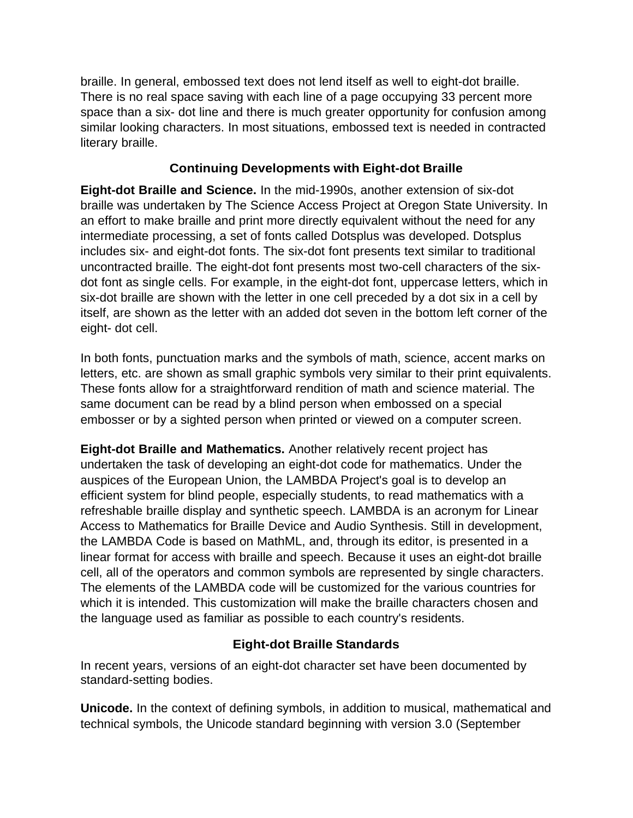braille. In general, embossed text does not lend itself as well to eight-dot braille. There is no real space saving with each line of a page occupying 33 percent more space than a six- dot line and there is much greater opportunity for confusion among similar looking characters. In most situations, embossed text is needed in contracted literary braille.

### **Continuing Developments with Eight-dot Braille**

**Eight-dot Braille and Science.** In the mid-1990s, another extension of six-dot braille was undertaken by The Science Access Project at Oregon State University. In an effort to make braille and print more directly equivalent without the need for any intermediate processing, a set of fonts called Dotsplus was developed. Dotsplus includes six- and eight-dot fonts. The six-dot font presents text similar to traditional uncontracted braille. The eight-dot font presents most two-cell characters of the sixdot font as single cells. For example, in the eight-dot font, uppercase letters, which in six-dot braille are shown with the letter in one cell preceded by a dot six in a cell by itself, are shown as the letter with an added dot seven in the bottom left corner of the eight- dot cell.

In both fonts, punctuation marks and the symbols of math, science, accent marks on letters, etc. are shown as small graphic symbols very similar to their print equivalents. These fonts allow for a straightforward rendition of math and science material. The same document can be read by a blind person when embossed on a special embosser or by a sighted person when printed or viewed on a computer screen.

**Eight-dot Braille and Mathematics.** Another relatively recent project has undertaken the task of developing an eight-dot code for mathematics. Under the auspices of the European Union, the LAMBDA Project's goal is to develop an efficient system for blind people, especially students, to read mathematics with a refreshable braille display and synthetic speech. LAMBDA is an acronym for Linear Access to Mathematics for Braille Device and Audio Synthesis. Still in development, the LAMBDA Code is based on MathML, and, through its editor, is presented in a linear format for access with braille and speech. Because it uses an eight-dot braille cell, all of the operators and common symbols are represented by single characters. The elements of the LAMBDA code will be customized for the various countries for which it is intended. This customization will make the braille characters chosen and the language used as familiar as possible to each country's residents.

# **Eight-dot Braille Standards**

In recent years, versions of an eight-dot character set have been documented by standard-setting bodies.

**Unicode.** In the context of defining symbols, in addition to musical, mathematical and technical symbols, the Unicode standard beginning with version 3.0 (September